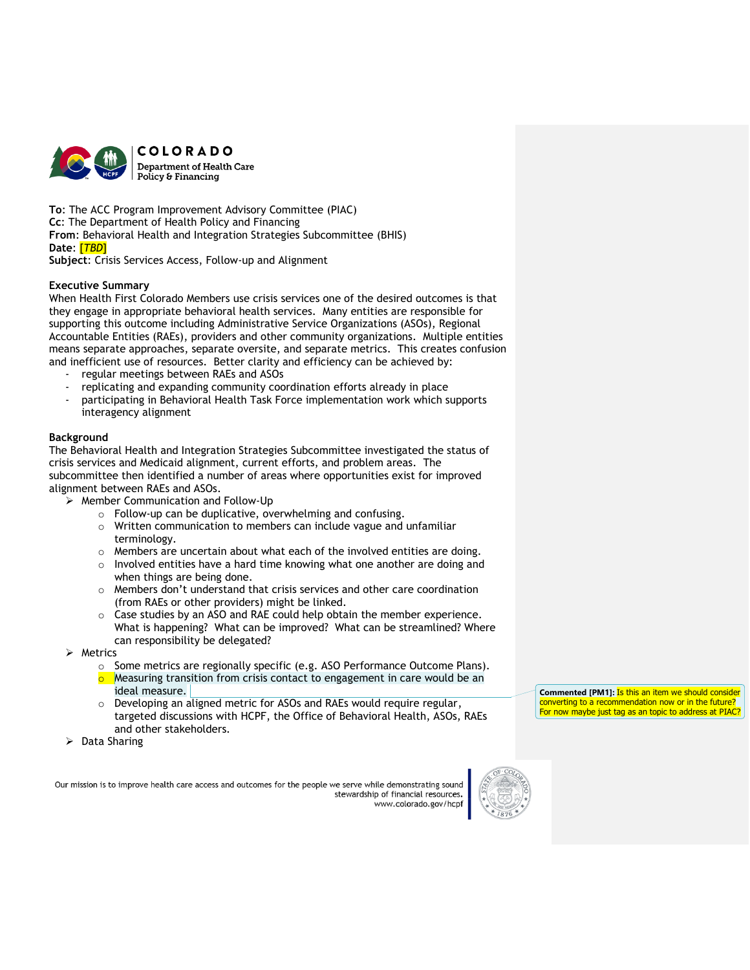

**To**: The ACC Program Improvement Advisory Committee (PIAC) **Cc**: The Department of Health Policy and Financing **From**: Behavioral Health and Integration Strategies Subcommittee (BHIS) **Date**: [*TBD*]

**Subject**: Crisis Services Access, Follow-up and Alignment

# **Executive Summary**

When Health First Colorado Members use crisis services one of the desired outcomes is that they engage in appropriate behavioral health services. Many entities are responsible for supporting this outcome including Administrative Service Organizations (ASOs), Regional Accountable Entities (RAEs), providers and other community organizations. Multiple entities means separate approaches, separate oversite, and separate metrics. This creates confusion and inefficient use of resources. Better clarity and efficiency can be achieved by:

- regular meetings between RAEs and ASOs
- replicating and expanding community coordination efforts already in place
- participating in Behavioral Health Task Force implementation work which supports interagency alignment

## **Background**

The Behavioral Health and Integration Strategies Subcommittee investigated the status of crisis services and Medicaid alignment, current efforts, and problem areas. The subcommittee then identified a number of areas where opportunities exist for improved alignment between RAEs and ASOs.

➢ Member Communication and Follow-Up

- o Follow-up can be duplicative, overwhelming and confusing.
- o Written communication to members can include vague and unfamiliar terminology.
- o Members are uncertain about what each of the involved entities are doing.
- o Involved entities have a hard time knowing what one another are doing and when things are being done.
- o Members don't understand that crisis services and other care coordination (from RAEs or other providers) might be linked.
- o Case studies by an ASO and RAE could help obtain the member experience. What is happening? What can be improved? What can be streamlined? Where can responsibility be delegated?
- ➢ Metrics
	- o Some metrics are regionally specific (e.g. ASO Performance Outcome Plans).
	- Measuring transition from crisis contact to engagement in care would be an ideal measure.
	- o Developing an aligned metric for ASOs and RAEs would require regular, targeted discussions with HCPF, the Office of Behavioral Health, ASOs, RAEs and other stakeholders.
- ➢ Data Sharing

Our mission is to improve health care access and outcomes for the people we serve while demonstrating sound stewardship of financial resources www.colorado.gov/hcpt



**Commented [PM1]:** Is this an item we should consider converting to a recommendation now or in the future? For now maybe just tag as an topic to address at PIAC?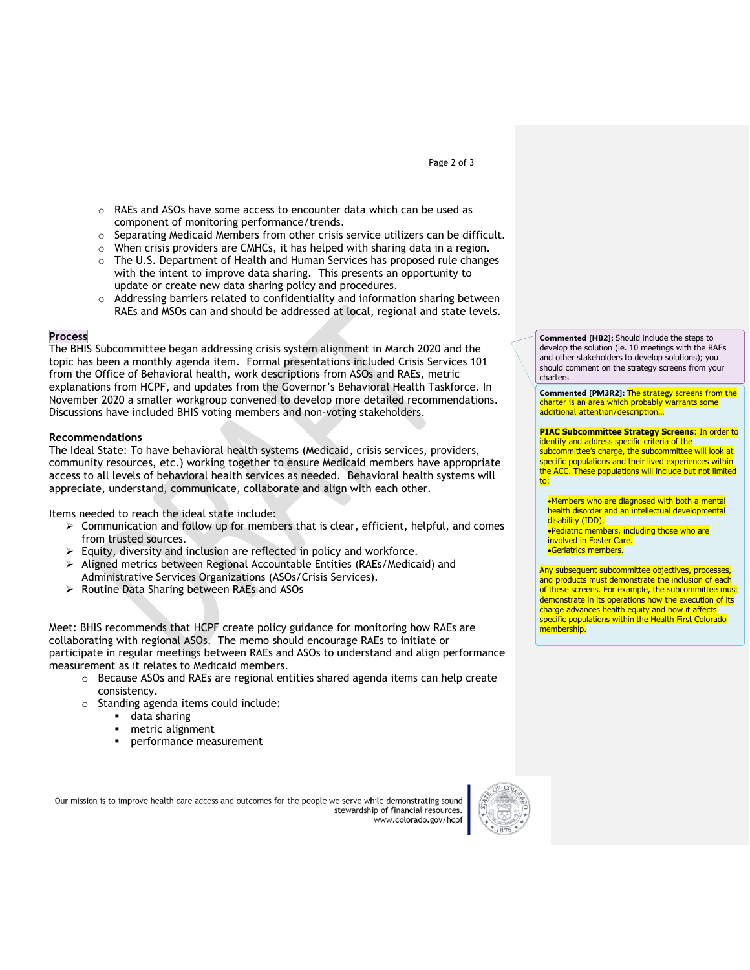- o RAEs and ASOs have some access to encounter data which can be used as component of monitoring performance/trends.
- $\circ$  Separating Medicaid Members from other crisis service utilizers can be difficult.
- o When crisis providers are CMHCs, it has helped with sharing data in a region.
- $\circ$  The U.S. Department of Health and Human Services has proposed rule changes with the intent to improve data sharing. This presents an opportunity to update or create new data sharing policy and procedures.
- $\circ$  Addressing barriers related to confidentiality and information sharing between RAEs and MSOs can and should be addressed at local, regional and state levels.

### **Process**

The BHIS Subcommittee began addressing crisis system alignment in March 2020 and the topic has been a monthly agenda item. Formal presentations included Crisis Services 101 from the Office of Behavioral health, work descriptions from ASOs and RAEs, metric explanations from HCPF, and updates from the Governor's Behavioral Health Taskforce. In November 2020 a smaller workgroup convened to develop more detailed recommendations. Discussions have included BHIS voting members and non-voting stakeholders.

#### **Recommendations**

The Ideal State: To have behavioral health systems (Medicaid, crisis services, providers, community resources, etc.) working together to ensure Medicaid members have appropriate access to all levels of behavioral health services as needed. Behavioral health systems will appreciate, understand, communicate, collaborate and align with each other.

Items needed to reach the ideal state include:

- $\triangleright$  Communication and follow up for members that is clear, efficient, helpful, and comes from trusted sources.
- $\triangleright$  Equity, diversity and inclusion are reflected in policy and workforce.
- ➢ Aligned metrics between Regional Accountable Entities (RAEs/Medicaid) and Administrative Services Organizations (ASOs/Crisis Services).
- ➢ Routine Data Sharing between RAEs and ASOs

Meet: BHIS recommends that HCPF create policy guidance for monitoring how RAEs are collaborating with regional ASOs. The memo should encourage RAEs to initiate or participate in regular meetings between RAEs and ASOs to understand and align performance measurement as it relates to Medicaid members.

- $\circ$  Because ASOs and RAEs are regional entities shared agenda items can help create consistency.
- o Standing agenda items could include:
	- data sharing
	- metric alignment
	- performance measurement

Our mission is to improve health care access and outcomes for the people we serve while demonstrating sound stewardship of financial resources. www.colorado.gov/hcpf



**Commented [HB2]:** Should include the steps to develop the solution (ie. 10 meetings with the RAEs and other stakeholders to develop solutions); you should comment on the strategy screens from your charters

**Commented [PM3R2]:** The strategy screens from the charter is an area which probably warrants some additional attention/description…

### **PIAC Subcommittee Strategy Screens**: In order to

identify and address specific criteria of the subcommittee's charge, the subcommittee will look at specific populations and their lived experiences within the ACC. These populations will include but not limited to:

•Members who are diagnosed with both a mental health disorder and an intellectual developmental disability (IDD). •Pediatric members, including those who are involved in Foster Care. •Geriatrics members.

Any subsequent subcommittee objectives, processes, and products must demonstrate the inclusion of each of these screens. For example, the subcommittee must demonstrate in its operations how the execution of its charge advances health equity and how it affects specific populations within the Health First Colorado membership.